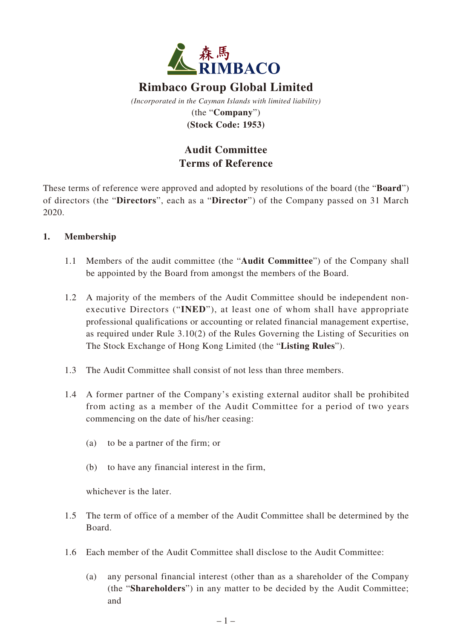

# **Rimbaco Group Global Limited**

*(Incorporated in the Cayman Islands with limited liability)* (the "**Company**") **(Stock Code: 1953)**

## **Audit Committee Terms of Reference**

These terms of reference were approved and adopted by resolutions of the board (the "**Board**") of directors (the "**Directors**", each as a "**Director**") of the Company passed on 31 March 2020.

## **1. Membership**

- 1.1 Members of the audit committee (the "**Audit Committee**") of the Company shall be appointed by the Board from amongst the members of the Board.
- 1.2 A majority of the members of the Audit Committee should be independent nonexecutive Directors ("**INED**"), at least one of whom shall have appropriate professional qualifications or accounting or related financial management expertise, as required under Rule 3.10(2) of the Rules Governing the Listing of Securities on The Stock Exchange of Hong Kong Limited (the "**Listing Rules**").
- 1.3 The Audit Committee shall consist of not less than three members.
- 1.4 A former partner of the Company's existing external auditor shall be prohibited from acting as a member of the Audit Committee for a period of two years commencing on the date of his/her ceasing:
	- (a) to be a partner of the firm; or
	- (b) to have any financial interest in the firm,

whichever is the later.

- 1.5 The term of office of a member of the Audit Committee shall be determined by the Board.
- 1.6 Each member of the Audit Committee shall disclose to the Audit Committee:
	- (a) any personal financial interest (other than as a shareholder of the Company (the "**Shareholders**") in any matter to be decided by the Audit Committee; and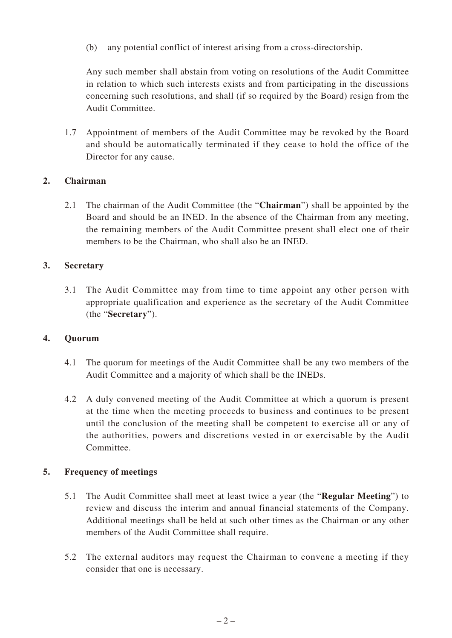(b) any potential conflict of interest arising from a cross-directorship.

Any such member shall abstain from voting on resolutions of the Audit Committee in relation to which such interests exists and from participating in the discussions concerning such resolutions, and shall (if so required by the Board) resign from the Audit Committee.

1.7 Appointment of members of the Audit Committee may be revoked by the Board and should be automatically terminated if they cease to hold the office of the Director for any cause.

## **2. Chairman**

2.1 The chairman of the Audit Committee (the "**Chairman**") shall be appointed by the Board and should be an INED. In the absence of the Chairman from any meeting, the remaining members of the Audit Committee present shall elect one of their members to be the Chairman, who shall also be an INED.

## **3. Secretary**

3.1 The Audit Committee may from time to time appoint any other person with appropriate qualification and experience as the secretary of the Audit Committee (the "**Secretary**").

## **4. Quorum**

- 4.1 The quorum for meetings of the Audit Committee shall be any two members of the Audit Committee and a majority of which shall be the INEDs.
- 4.2 A duly convened meeting of the Audit Committee at which a quorum is present at the time when the meeting proceeds to business and continues to be present until the conclusion of the meeting shall be competent to exercise all or any of the authorities, powers and discretions vested in or exercisable by the Audit Committee.

## **5. Frequency of meetings**

- 5.1 The Audit Committee shall meet at least twice a year (the "**Regular Meeting**") to review and discuss the interim and annual financial statements of the Company. Additional meetings shall be held at such other times as the Chairman or any other members of the Audit Committee shall require.
- 5.2 The external auditors may request the Chairman to convene a meeting if they consider that one is necessary.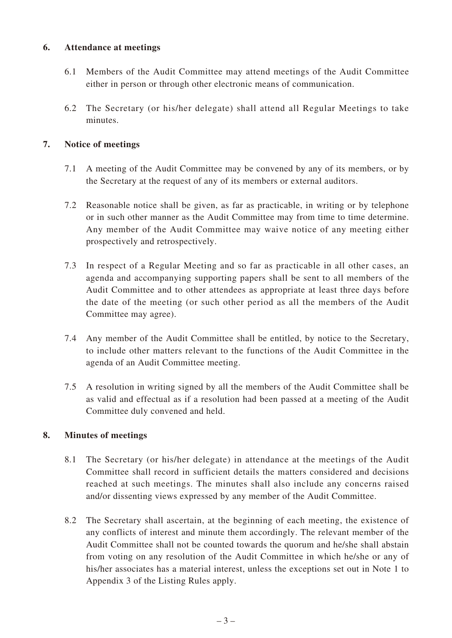## **6. Attendance at meetings**

- 6.1 Members of the Audit Committee may attend meetings of the Audit Committee either in person or through other electronic means of communication.
- 6.2 The Secretary (or his/her delegate) shall attend all Regular Meetings to take minutes.

## **7. Notice of meetings**

- 7.1 A meeting of the Audit Committee may be convened by any of its members, or by the Secretary at the request of any of its members or external auditors.
- 7.2 Reasonable notice shall be given, as far as practicable, in writing or by telephone or in such other manner as the Audit Committee may from time to time determine. Any member of the Audit Committee may waive notice of any meeting either prospectively and retrospectively.
- 7.3 In respect of a Regular Meeting and so far as practicable in all other cases, an agenda and accompanying supporting papers shall be sent to all members of the Audit Committee and to other attendees as appropriate at least three days before the date of the meeting (or such other period as all the members of the Audit Committee may agree).
- 7.4 Any member of the Audit Committee shall be entitled, by notice to the Secretary, to include other matters relevant to the functions of the Audit Committee in the agenda of an Audit Committee meeting.
- 7.5 A resolution in writing signed by all the members of the Audit Committee shall be as valid and effectual as if a resolution had been passed at a meeting of the Audit Committee duly convened and held.

## **8. Minutes of meetings**

- 8.1 The Secretary (or his/her delegate) in attendance at the meetings of the Audit Committee shall record in sufficient details the matters considered and decisions reached at such meetings. The minutes shall also include any concerns raised and/or dissenting views expressed by any member of the Audit Committee.
- 8.2 The Secretary shall ascertain, at the beginning of each meeting, the existence of any conflicts of interest and minute them accordingly. The relevant member of the Audit Committee shall not be counted towards the quorum and he/she shall abstain from voting on any resolution of the Audit Committee in which he/she or any of his/her associates has a material interest, unless the exceptions set out in Note 1 to Appendix 3 of the Listing Rules apply.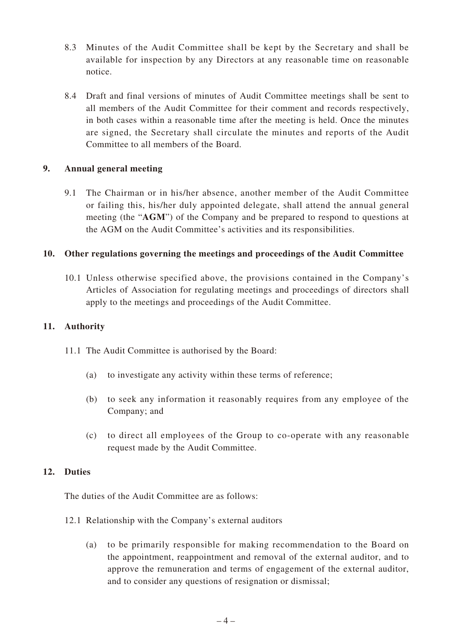- 8.3 Minutes of the Audit Committee shall be kept by the Secretary and shall be available for inspection by any Directors at any reasonable time on reasonable notice.
- 8.4 Draft and final versions of minutes of Audit Committee meetings shall be sent to all members of the Audit Committee for their comment and records respectively, in both cases within a reasonable time after the meeting is held. Once the minutes are signed, the Secretary shall circulate the minutes and reports of the Audit Committee to all members of the Board.

## **9. Annual general meeting**

9.1 The Chairman or in his/her absence, another member of the Audit Committee or failing this, his/her duly appointed delegate, shall attend the annual general meeting (the "**AGM**") of the Company and be prepared to respond to questions at the AGM on the Audit Committee's activities and its responsibilities.

## **10. Other regulations governing the meetings and proceedings of the Audit Committee**

10.1 Unless otherwise specified above, the provisions contained in the Company's Articles of Association for regulating meetings and proceedings of directors shall apply to the meetings and proceedings of the Audit Committee.

## **11. Authority**

- 11.1 The Audit Committee is authorised by the Board:
	- (a) to investigate any activity within these terms of reference;
	- (b) to seek any information it reasonably requires from any employee of the Company; and
	- (c) to direct all employees of the Group to co-operate with any reasonable request made by the Audit Committee.

## **12. Duties**

The duties of the Audit Committee are as follows:

- 12.1 Relationship with the Company's external auditors
	- (a) to be primarily responsible for making recommendation to the Board on the appointment, reappointment and removal of the external auditor, and to approve the remuneration and terms of engagement of the external auditor, and to consider any questions of resignation or dismissal;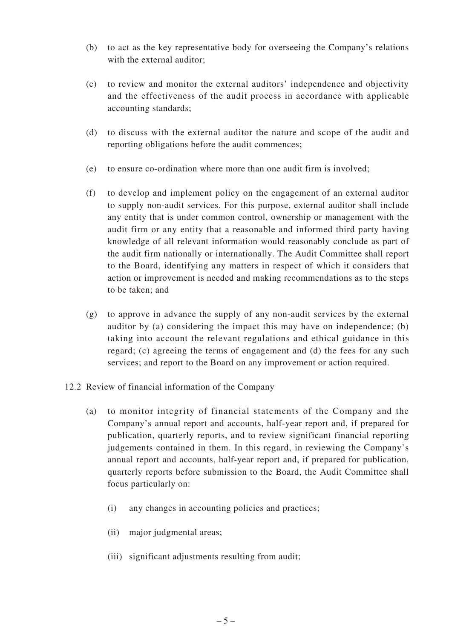- (b) to act as the key representative body for overseeing the Company's relations with the external auditor;
- (c) to review and monitor the external auditors' independence and objectivity and the effectiveness of the audit process in accordance with applicable accounting standards;
- (d) to discuss with the external auditor the nature and scope of the audit and reporting obligations before the audit commences;
- (e) to ensure co-ordination where more than one audit firm is involved;
- (f) to develop and implement policy on the engagement of an external auditor to supply non-audit services. For this purpose, external auditor shall include any entity that is under common control, ownership or management with the audit firm or any entity that a reasonable and informed third party having knowledge of all relevant information would reasonably conclude as part of the audit firm nationally or internationally. The Audit Committee shall report to the Board, identifying any matters in respect of which it considers that action or improvement is needed and making recommendations as to the steps to be taken; and
- (g) to approve in advance the supply of any non-audit services by the external auditor by (a) considering the impact this may have on independence; (b) taking into account the relevant regulations and ethical guidance in this regard; (c) agreeing the terms of engagement and (d) the fees for any such services; and report to the Board on any improvement or action required.
- 12.2 Review of financial information of the Company
	- (a) to monitor integrity of financial statements of the Company and the Company's annual report and accounts, half-year report and, if prepared for publication, quarterly reports, and to review significant financial reporting judgements contained in them. In this regard, in reviewing the Company's annual report and accounts, half-year report and, if prepared for publication, quarterly reports before submission to the Board, the Audit Committee shall focus particularly on:
		- (i) any changes in accounting policies and practices;
		- (ii) major judgmental areas;
		- (iii) significant adjustments resulting from audit;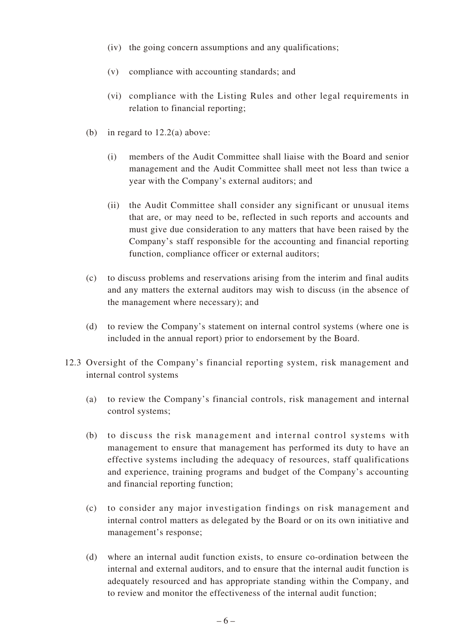- (iv) the going concern assumptions and any qualifications;
- (v) compliance with accounting standards; and
- (vi) compliance with the Listing Rules and other legal requirements in relation to financial reporting;
- (b) in regard to 12.2(a) above:
	- (i) members of the Audit Committee shall liaise with the Board and senior management and the Audit Committee shall meet not less than twice a year with the Company's external auditors; and
	- (ii) the Audit Committee shall consider any significant or unusual items that are, or may need to be, reflected in such reports and accounts and must give due consideration to any matters that have been raised by the Company's staff responsible for the accounting and financial reporting function, compliance officer or external auditors;
- (c) to discuss problems and reservations arising from the interim and final audits and any matters the external auditors may wish to discuss (in the absence of the management where necessary); and
- (d) to review the Company's statement on internal control systems (where one is included in the annual report) prior to endorsement by the Board.
- 12.3 Oversight of the Company's financial reporting system, risk management and internal control systems
	- (a) to review the Company's financial controls, risk management and internal control systems;
	- (b) to discuss the risk management and internal control systems with management to ensure that management has performed its duty to have an effective systems including the adequacy of resources, staff qualifications and experience, training programs and budget of the Company's accounting and financial reporting function;
	- (c) to consider any major investigation findings on risk management and internal control matters as delegated by the Board or on its own initiative and management's response;
	- (d) where an internal audit function exists, to ensure co-ordination between the internal and external auditors, and to ensure that the internal audit function is adequately resourced and has appropriate standing within the Company, and to review and monitor the effectiveness of the internal audit function;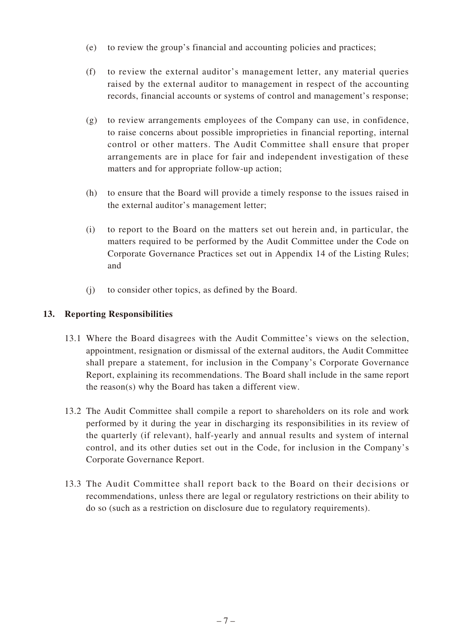- (e) to review the group's financial and accounting policies and practices;
- (f) to review the external auditor's management letter, any material queries raised by the external auditor to management in respect of the accounting records, financial accounts or systems of control and management's response;
- (g) to review arrangements employees of the Company can use, in confidence, to raise concerns about possible improprieties in financial reporting, internal control or other matters. The Audit Committee shall ensure that proper arrangements are in place for fair and independent investigation of these matters and for appropriate follow-up action;
- (h) to ensure that the Board will provide a timely response to the issues raised in the external auditor's management letter;
- (i) to report to the Board on the matters set out herein and, in particular, the matters required to be performed by the Audit Committee under the Code on Corporate Governance Practices set out in Appendix 14 of the Listing Rules; and
- (j) to consider other topics, as defined by the Board.

## **13. Reporting Responsibilities**

- 13.1 Where the Board disagrees with the Audit Committee's views on the selection, appointment, resignation or dismissal of the external auditors, the Audit Committee shall prepare a statement, for inclusion in the Company's Corporate Governance Report, explaining its recommendations. The Board shall include in the same report the reason(s) why the Board has taken a different view.
- 13.2 The Audit Committee shall compile a report to shareholders on its role and work performed by it during the year in discharging its responsibilities in its review of the quarterly (if relevant), half-yearly and annual results and system of internal control, and its other duties set out in the Code, for inclusion in the Company's Corporate Governance Report.
- 13.3 The Audit Committee shall report back to the Board on their decisions or recommendations, unless there are legal or regulatory restrictions on their ability to do so (such as a restriction on disclosure due to regulatory requirements).